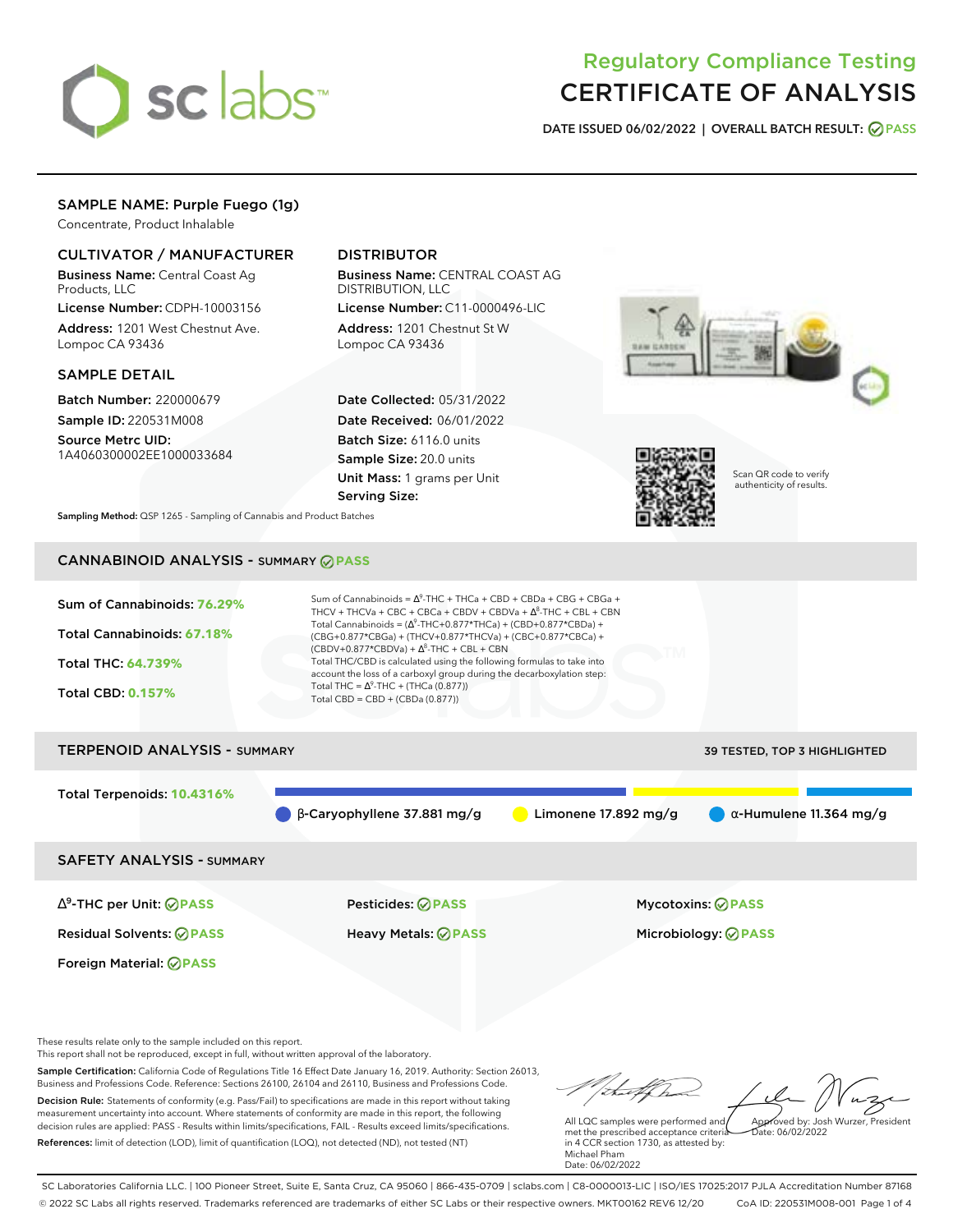

## Regulatory Compliance Testing CERTIFICATE OF ANALYSIS

**DATE ISSUED 06/02/2022 | OVERALL BATCH RESULT: PASS**

## SAMPLE NAME: Purple Fuego (1g)

Concentrate, Product Inhalable

### CULTIVATOR / MANUFACTURER

Business Name: Central Coast Ag Products, LLC

License Number: CDPH-10003156 Address: 1201 West Chestnut Ave. Lompoc CA 93436

### SAMPLE DETAIL

Batch Number: 220000679 Sample ID: 220531M008

Source Metrc UID: 1A4060300002EE1000033684

## DISTRIBUTOR

Business Name: CENTRAL COAST AG DISTRIBUTION, LLC

License Number: C11-0000496-LIC Address: 1201 Chestnut St W Lompoc CA 93436

Date Collected: 05/31/2022 Date Received: 06/01/2022 Batch Size: 6116.0 units Sample Size: 20.0 units Unit Mass: 1 grams per Unit Serving Size:





Scan QR code to verify authenticity of results.

**Sampling Method:** QSP 1265 - Sampling of Cannabis and Product Batches

## CANNABINOID ANALYSIS - SUMMARY **PASS**



# TERPENOID ANALYSIS - SUMMARY 39 TESTED, TOP 3 HIGHLIGHTED Total Terpenoids: **10.4316%** β-Caryophyllene 37.881 mg/g **C** Limonene 17.892 mg/g  $\alpha$ -Humulene 11.364 mg/g

SAFETY ANALYSIS - SUMMARY

∆ 9 -THC per Unit: **PASS** Pesticides: **PASS** Mycotoxins: **PASS**

Foreign Material: **PASS**

Residual Solvents: **PASS** Heavy Metals: **PASS** Microbiology: **PASS**

These results relate only to the sample included on this report.

This report shall not be reproduced, except in full, without written approval of the laboratory.

Sample Certification: California Code of Regulations Title 16 Effect Date January 16, 2019. Authority: Section 26013, Business and Professions Code. Reference: Sections 26100, 26104 and 26110, Business and Professions Code. Decision Rule: Statements of conformity (e.g. Pass/Fail) to specifications are made in this report without taking measurement uncertainty into account. Where statements of conformity are made in this report, the following decision rules are applied: PASS - Results within limits/specifications, FAIL - Results exceed limits/specifications.

References: limit of detection (LOD), limit of quantification (LOQ), not detected (ND), not tested (NT)

Approved by: Josh Wurzer, President

 $ate: 06/02/2022$ 

All LQC samples were performed and met the prescribed acceptance criteria in 4 CCR section 1730, as attested by: Michael Pham Date: 06/02/2022

SC Laboratories California LLC. | 100 Pioneer Street, Suite E, Santa Cruz, CA 95060 | 866-435-0709 | sclabs.com | C8-0000013-LIC | ISO/IES 17025:2017 PJLA Accreditation Number 87168 © 2022 SC Labs all rights reserved. Trademarks referenced are trademarks of either SC Labs or their respective owners. MKT00162 REV6 12/20 CoA ID: 220531M008-001 Page 1 of 4